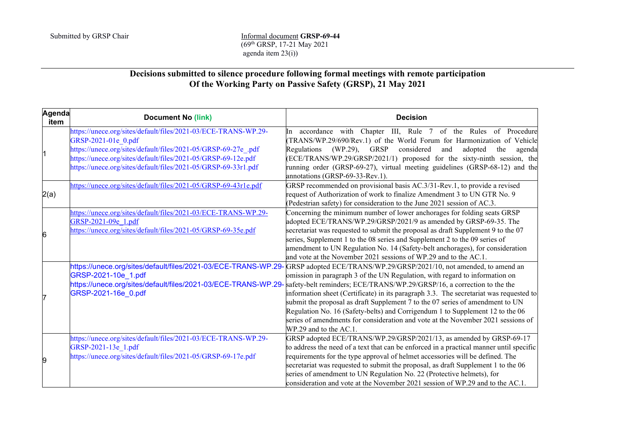## Submitted by GRSP Chair **Informal document GRSP-69-44** (69th GRSP, 17-21 May 2021 agenda item 23(i))

## **Decisions submitted to silence procedure following formal meetings with remote participation Of the Working Party on Passive Safety (GRSP), 21 May 2021**

| Agenda<br>item | <b>Document No (link)</b>                                       | <b>Decision</b>                                                                                                                        |
|----------------|-----------------------------------------------------------------|----------------------------------------------------------------------------------------------------------------------------------------|
| 11             | https://unece.org/sites/default/files/2021-03/ECE-TRANS-WP.29-  | In accordance with Chapter III, Rule 7 of the Rules of Procedure                                                                       |
|                | GRSP-2021-01e 0.pdf                                             | TRANS/WP.29/690/Rev.1) of the World Forum for Harmonization of Vehicle                                                                 |
|                | https://unece.org/sites/default/files/2021-05/GRSP-69-27e_.pdf  | Regulations (WP.29), GRSP<br>considered<br>adopted<br>and<br>the<br>agenda                                                             |
|                | https://unece.org/sites/default/files/2021-05/GRSP-69-12e.pdf   | (ECE/TRANS/WP.29/GRSP/2021/1) proposed for the sixty-ninth session, the                                                                |
|                | https://unece.org/sites/default/files/2021-05/GRSP-69-33r1.pdf  | running order (GRSP-69-27), virtual meeting guidelines (GRSP-68-12) and the<br>annotations (GRSP-69-33-Rev.1).                         |
| 2(a)           | https://unece.org/sites/default/files/2021-05/GRSP-69-43r1e.pdf | GRSP recommended on provisional basis AC.3/31-Rev.1, to provide a revised                                                              |
|                |                                                                 | request of Authorization of work to finalize Amendment 3 to UN GTR No. 9                                                               |
|                |                                                                 | (Pedestrian safety) for consideration to the June 2021 session of AC.3.                                                                |
|                | https://unece.org/sites/default/files/2021-03/ECE-TRANS-WP.29-  | Concerning the minimum number of lower anchorages for folding seats GRSP                                                               |
|                | GRSP-2021-09e 1.pdf                                             | adopted ECE/TRANS/WP.29/GRSP/2021/9 as amended by GRSP-69-35. The                                                                      |
| 6              | https://unece.org/sites/default/files/2021-05/GRSP-69-35e.pdf   | secretariat was requested to submit the proposal as draft Supplement 9 to the 07                                                       |
|                |                                                                 | series, Supplement 1 to the 08 series and Supplement 2 to the 09 series of                                                             |
|                |                                                                 | amendment to UN Regulation No. 14 (Safety-belt anchorages), for consideration                                                          |
|                |                                                                 | and vote at the November 2021 sessions of WP.29 and to the AC.1.                                                                       |
| 7<br>9         | https://unece.org/sites/default/files/2021-03/ECE-TRANS-WP.29-  | GRSP adopted ECE/TRANS/WP.29/GRSP/2021/10, not amended, to amend an                                                                    |
|                | GRSP-2021-10e_1.pdf                                             | omission in paragraph 3 of the UN Regulation, with regard to information on                                                            |
|                |                                                                 | https://unece.org/sites/default/files/2021-03/ECE-TRANS-WP.29- safety-belt reminders; ECE/TRANS/WP.29/GRSP/16, a correction to the the |
|                | GRSP-2021-16e 0.pdf                                             | information sheet (Certificate) in its paragraph 3.3. The secretariat was requested to                                                 |
|                |                                                                 | submit the proposal as draft Supplement 7 to the 07 series of amendment to UN                                                          |
|                |                                                                 | Regulation No. 16 (Safety-belts) and Corrigendum 1 to Supplement 12 to the 06                                                          |
|                |                                                                 | series of amendments for consideration and vote at the November 2021 sessions of                                                       |
|                |                                                                 | WP.29 and to the AC.1.                                                                                                                 |
|                | https://unece.org/sites/default/files/2021-03/ECE-TRANS-WP.29-  | GRSP adopted ECE/TRANS/WP.29/GRSP/2021/13, as amended by GRSP-69-17                                                                    |
|                | GRSP-2021-13e 1.pdf                                             | to address the need of a text that can be enforced in a practical manner until specific                                                |
|                | https://unece.org/sites/default/files/2021-05/GRSP-69-17e.pdf   | requirements for the type approval of helmet accessories will be defined. The                                                          |
|                |                                                                 | secretariat was requested to submit the proposal, as draft Supplement 1 to the 06                                                      |
|                |                                                                 | series of amendment to UN Regulation No. 22 (Protective helmets), for                                                                  |
|                |                                                                 | consideration and vote at the November 2021 session of WP.29 and to the AC.1.                                                          |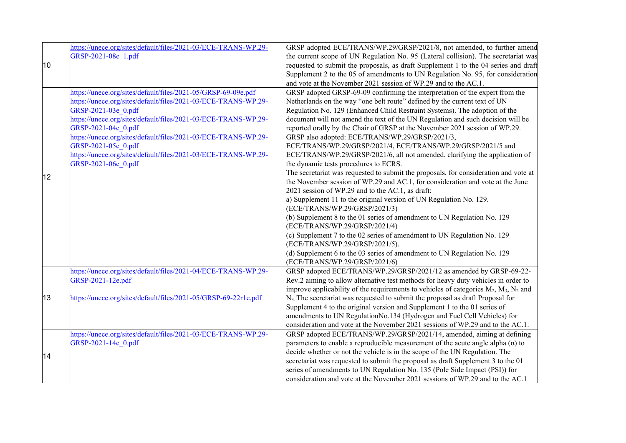|    | https://unece.org/sites/default/files/2021-03/ECE-TRANS-WP.29-  | GRSP adopted ECE/TRANS/WP.29/GRSP/2021/8, not amended, to further amend                                                                                         |
|----|-----------------------------------------------------------------|-----------------------------------------------------------------------------------------------------------------------------------------------------------------|
|    | GRSP-2021-08e 1.pdf                                             | the current scope of UN Regulation No. 95 (Lateral collision). The secretariat was                                                                              |
| 10 |                                                                 | requested to submit the proposals, as draft Supplement 1 to the 04 series and draft                                                                             |
|    |                                                                 | Supplement 2 to the 05 of amendments to UN Regulation No. 95, for consideration                                                                                 |
|    |                                                                 | and vote at the November 2021 session of WP.29 and to the AC.1.                                                                                                 |
|    | https://unece.org/sites/default/files/2021-05/GRSP-69-09e.pdf   | GRSP adopted GRSP-69-09 confirming the interpretation of the expert from the                                                                                    |
|    | https://unece.org/sites/default/files/2021-03/ECE-TRANS-WP.29-  | Netherlands on the way "one belt route" defined by the current text of UN                                                                                       |
|    | GRSP-2021-03e 0.pdf                                             | Regulation No. 129 (Enhanced Child Restraint Systems). The adoption of the                                                                                      |
|    | https://unece.org/sites/default/files/2021-03/ECE-TRANS-WP.29-  | document will not amend the text of the UN Regulation and such decision will be                                                                                 |
|    | GRSP-2021-04e 0.pdf                                             | reported orally by the Chair of GRSP at the November 2021 session of WP.29.                                                                                     |
|    | https://unece.org/sites/default/files/2021-03/ECE-TRANS-WP.29-  | GRSP also adopted: ECE/TRANS/WP.29/GRSP/2021/3,                                                                                                                 |
|    | GRSP-2021-05e 0.pdf                                             | ECE/TRANS/WP.29/GRSP/2021/4, ECE/TRANS/WP.29/GRSP/2021/5 and                                                                                                    |
|    | https://unece.org/sites/default/files/2021-03/ECE-TRANS-WP.29-  | ECE/TRANS/WP.29/GRSP/2021/6, all not amended, clarifying the application of                                                                                     |
|    | GRSP-2021-06e 0.pdf                                             | the dynamic tests procedures to ECRS.                                                                                                                           |
| 12 |                                                                 | The secretariat was requested to submit the proposals, for consideration and vote at                                                                            |
|    |                                                                 | the November session of WP.29 and AC.1, for consideration and vote at the June                                                                                  |
|    |                                                                 | 2021 session of WP.29 and to the AC.1, as draft:                                                                                                                |
|    |                                                                 | a) Supplement 11 to the original version of UN Regulation No. 129.                                                                                              |
|    |                                                                 | (ECE/TRANS/WP.29/GRSP/2021/3)                                                                                                                                   |
|    |                                                                 | (b) Supplement 8 to the 01 series of amendment to UN Regulation No. 129                                                                                         |
|    |                                                                 | (ECE/TRANS/WP.29/GRSP/2021/4)                                                                                                                                   |
|    |                                                                 | (c) Supplement 7 to the 02 series of amendment to UN Regulation No. 129                                                                                         |
|    |                                                                 | (ECE/TRANS/WP.29/GRSP/2021/5).                                                                                                                                  |
|    |                                                                 | (d) Supplement 6 to the 03 series of amendment to UN Regulation No. 129                                                                                         |
|    |                                                                 | (ECE/TRANS/WP.29/GRSP/2021/6)                                                                                                                                   |
|    | https://unece.org/sites/default/files/2021-04/ECE-TRANS-WP.29-  | GRSP adopted ECE/TRANS/WP.29/GRSP/2021/12 as amended by GRSP-69-22-                                                                                             |
|    | GRSP-2021-12e.pdf                                               | Rev.2 aiming to allow alternative test methods for heavy duty vehicles in order to                                                                              |
|    |                                                                 | improve applicability of the requirements to vehicles of categories $M_2$ , $M_3$ , $N_2$ and                                                                   |
| 13 | https://unece.org/sites/default/files/2021-05/GRSP-69-22r1e.pdf | $N3$ . The secretariat was requested to submit the proposal as draft Proposal for                                                                               |
|    |                                                                 | Supplement 4 to the original version and Supplement 1 to the 01 series of                                                                                       |
|    |                                                                 | amendments to UN RegulationNo.134 (Hydrogen and Fuel Cell Vehicles) for                                                                                         |
|    |                                                                 | consideration and vote at the November 2021 sessions of WP.29 and to the AC.1.                                                                                  |
| 14 | https://unece.org/sites/default/files/2021-03/ECE-TRANS-WP.29-  | GRSP adopted ECE/TRANS/WP.29/GRSP/2021/14, amended, aiming at defining                                                                                          |
|    | GRSP-2021-14e 0.pdf                                             | parameters to enable a reproducible measurement of the acute angle alpha $(\alpha)$ to                                                                          |
|    |                                                                 | decide whether or not the vehicle is in the scope of the UN Regulation. The<br>secretariat was requested to submit the proposal as draft Supplement 3 to the 01 |
|    |                                                                 | series of amendments to UN Regulation No. 135 (Pole Side Impact (PSI)) for                                                                                      |
|    |                                                                 | consideration and vote at the November 2021 sessions of WP.29 and to the AC.1                                                                                   |
|    |                                                                 |                                                                                                                                                                 |